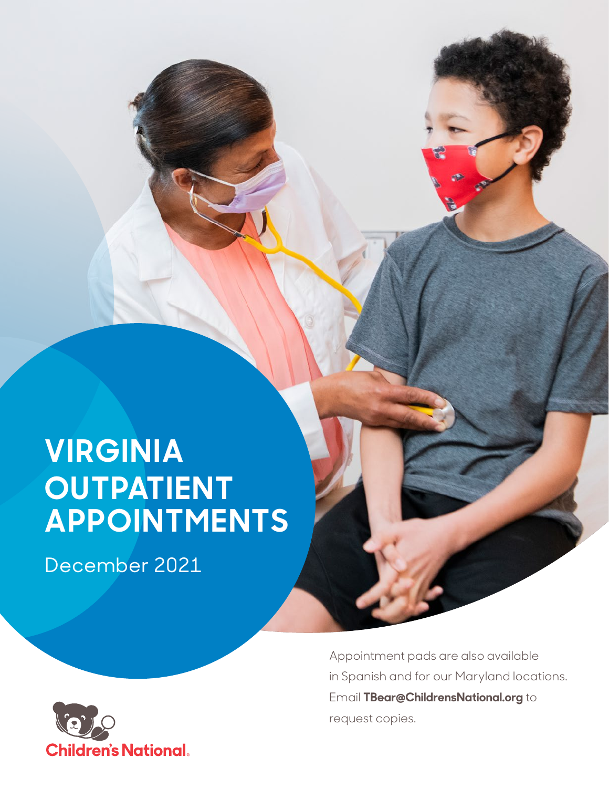# **VIRGINIA OUTPATIENT APPOINTMENTS**

December 2021



Appointment pads are also available in Spanish and for our Maryland locations. Email **TBear@ChildrensNational.org** to request copies.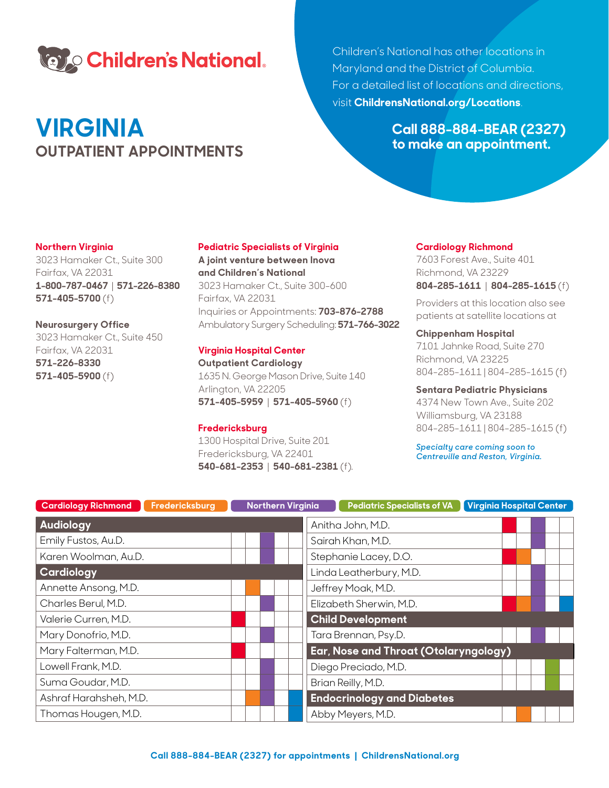

# **VIRGINIA OUTPATIENT APPOINTMENTS**

Children's National has other locations in Maryland and the District of Columbia. For a detailed list of locations and directions, visit **ChildrensNational.org/Locations**.

> **Call 888-884-BEAR (2327) to make an appointment.**

# **Northern Virginia**

3023 Hamaker Ct., Suite 300 Fairfax, VA 22031 **1-800-787-0467** | **571-226-8380 571-405-5700** (f)

# **Neurosurgery Office**

3023 Hamaker Ct., Suite 450 Fairfax, VA 22031 **571-226-8330 571-405-5900** (f)

# **Pediatric Specialists of Virginia**

**A joint venture between Inova and Children's National** 3023 Hamaker Ct., Suite 300-600 Fairfax, VA 22031 Inquiries or Appointments: **703-876-2788** Ambulatory Surgery Scheduling: **571-766-3022**

# **Virginia Hospital Center**

**Outpatient Cardiology** 1635 N. George Mason Drive, Suite 140 Arlington, VA 22205 **571-405-5959** | **571-405-5960** (f)

# **Fredericksburg**

1300 Hospital Drive, Suite 201 Fredericksburg, VA 22401 **540-681-2353** | **540-681-2381** (f)*.*

#### **Cardiology Richmond**

7603 Forest Ave., Suite 401 Richmond, VA 23229 **804-285-1611** | **804-285-1615** (f)

Providers at this location also see patients at satellite locations at

# **Chippenham Hospital**

7101 Jahnke Road, Suite 270 Richmond, VA 23225 804-285-1611 | 804-285-1615 (f)

# **Sentara Pediatric Physicians**

4374 New Town Ave., Suite 202 Williamsburg, VA 23188 804-285-1611 | 804-285-1615 (f)

*Specialty care coming soon to Centreville and Reston, Virginia.*

| <b>Cardiology Richmond</b><br>Fredericksburg | <b>Northern Virginia</b> | Virginia Hospital Center<br><b>Pediatric Specialists of VA</b> |  |
|----------------------------------------------|--------------------------|----------------------------------------------------------------|--|
| <b>Audiology</b>                             |                          | Anitha John, M.D.                                              |  |
| Emily Fustos, Au.D.                          |                          | Sairah Khan, M.D.                                              |  |
| Karen Woolman, Au.D.                         |                          | Stephanie Lacey, D.O.                                          |  |
| Cardiology                                   |                          | Linda Leatherbury, M.D.                                        |  |
| Annette Ansong, M.D.                         |                          | Jeffrey Moak, M.D.                                             |  |
| Charles Berul, M.D.                          |                          | Elizabeth Sherwin, M.D.                                        |  |
| Valerie Curren, M.D.                         |                          | <b>Child Development</b>                                       |  |
| Mary Donofrio, M.D.                          |                          | Tara Brennan, Psy.D.                                           |  |
| Mary Falterman, M.D.                         |                          | Ear, Nose and Throat (Otolaryngology)                          |  |
| Lowell Frank, M.D.                           |                          | Diego Preciado, M.D.                                           |  |
| Suma Goudar, M.D.                            |                          | Brian Reilly, M.D.                                             |  |
| Ashraf Harahsheh, M.D.                       |                          | <b>Endocrinology and Diabetes</b>                              |  |
| Thomas Hougen, M.D.                          |                          | Abby Meyers, M.D.                                              |  |